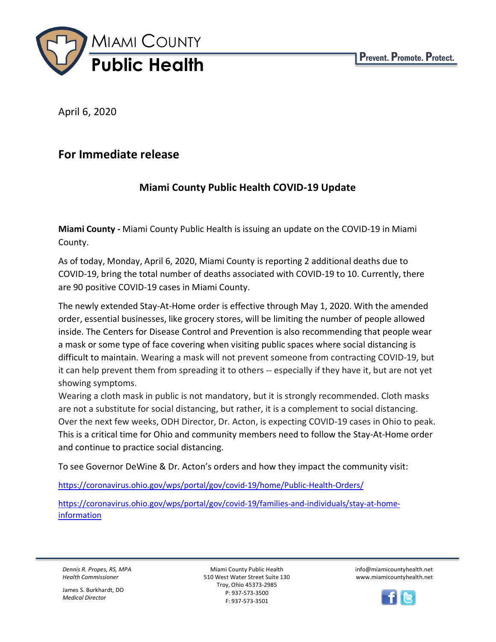

April 6, 2020

## **For Immediate release**

## **Miami County Public Health COVID-19 Update**

**Miami County -** Miami County Public Health is issuing an update on the COVID-19 in Miami County.

As of today, Monday, April 6, 2020, Miami County is reporting 2 additional deaths due to COVID-19, bring the total number of deaths associated with COVID-19 to 10. Currently, there are 90 positive COVID-19 cases in Miami County.

The newly extended Stay-At-Home order is effective through May 1, 2020. With the amended order, essential businesses, like grocery stores, will be limiting the number of people allowed inside. The Centers for Disease Control and Prevention is also recommending that people wear a mask or some type of face covering when visiting public spaces where social distancing is difficult to maintain. Wearing a mask will not prevent someone from contracting COVID-19, but it can help prevent them from spreading it to others -- especially if they have it, but are not yet showing symptoms.

Wearing a cloth mask in public is not mandatory, but it is strongly recommended. Cloth masks are not a substitute for social distancing, but rather, it is a complement to social distancing. Over the next few weeks, ODH Director, Dr. Acton, is expecting COVID-19 cases in Ohio to peak. This is a critical time for Ohio and community members need to follow the Stay-At-Home order and continue to practice social distancing.

To see Governor DeWine & Dr. Acton's orders and how they impact the community visit:

<https://coronavirus.ohio.gov/wps/portal/gov/covid-19/home/Public-Health-Orders/>

[https://coronavirus.ohio.gov/wps/portal/gov/covid-19/families-and-individuals/stay-at-home](https://coronavirus.ohio.gov/wps/portal/gov/covid-19/families-and-individuals/stay-at-home-information)[information](https://coronavirus.ohio.gov/wps/portal/gov/covid-19/families-and-individuals/stay-at-home-information)

*Dennis R. Propes, RS, MPA Health Commissioner*

James S. Burkhardt, DO *Medical Director*

Miami County Public Health 510 West Water Street Suite 130 Troy, Ohio 45373-2985 P: 937-573-3500 F: 937-573-3501

info@miamicountyhealth.net www.miamicountyhealth.net